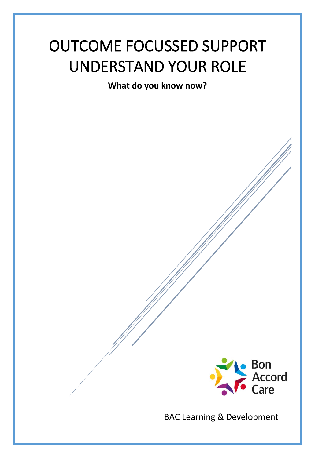# OUTCOME FOCUSSED SUPPORT UNDERSTAND YOUR ROLE

**What do you know now?**



BAC Learning & Development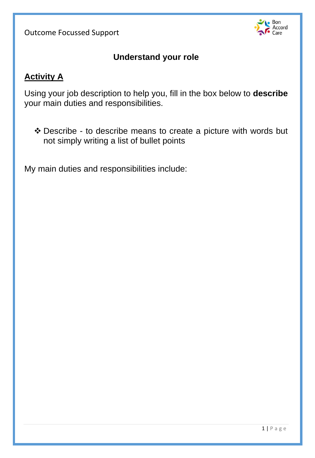

#### **Understand your role**

#### **Activity A**

Using your job description to help you, fill in the box below to **describe**  your main duties and responsibilities.

❖ Describe - to describe means to create a picture with words but not simply writing a list of bullet points

My main duties and responsibilities include: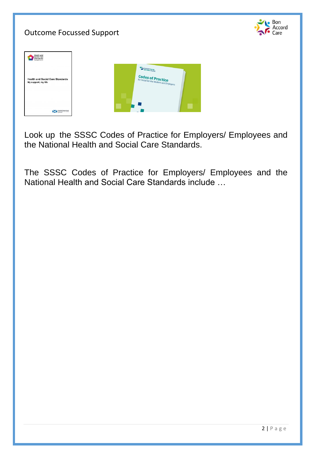# $\bullet$  Bon Accord Outcome Focussed Support Care Health and<br>Social Care<br>Standards Scottish Social **Codes of Practice**<br>for Social Service Workers and Dr. **Health and Social Care Standards**<br>My support, my life XI

Look up the SSSC Codes of Practice for Employers/ Employees and the National Health and Social Care Standards.

The SSSC Codes of Practice for Employers/ Employees and the National Health and Social Care Standards include …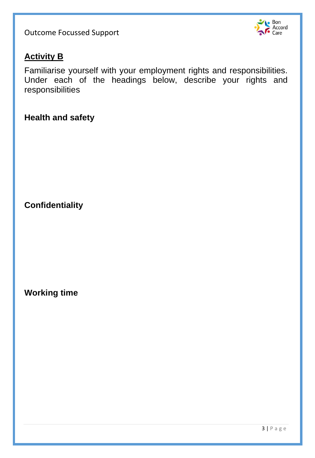

## **Activity B**

Familiarise yourself with your employment rights and responsibilities. Under each of the headings below, describe your rights and responsibilities

#### **Health and safety**

**Confidentiality** 

**Working time**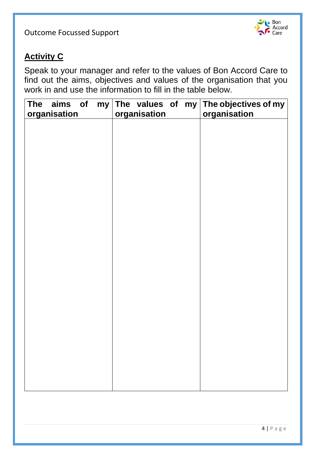

# **Activity C**

Speak to your manager and refer to the values of Bon Accord Care to find out the aims, objectives and values of the organisation that you work in and use the information to fill in the table below.

| <b>The</b><br>aims of<br>organisation | organisation | my The values of my The objectives of my<br>organisation |
|---------------------------------------|--------------|----------------------------------------------------------|
|                                       |              |                                                          |
|                                       |              |                                                          |
|                                       |              |                                                          |
|                                       |              |                                                          |
|                                       |              |                                                          |
|                                       |              |                                                          |
|                                       |              |                                                          |
|                                       |              |                                                          |
|                                       |              |                                                          |
|                                       |              |                                                          |
|                                       |              |                                                          |
|                                       |              |                                                          |
|                                       |              |                                                          |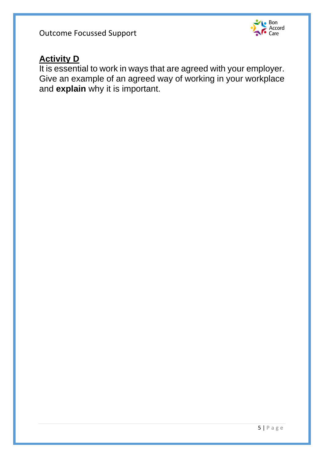

## **Activity D**

It is essential to work in ways that are agreed with your employer. Give an example of an agreed way of working in your workplace and **explain** why it is important.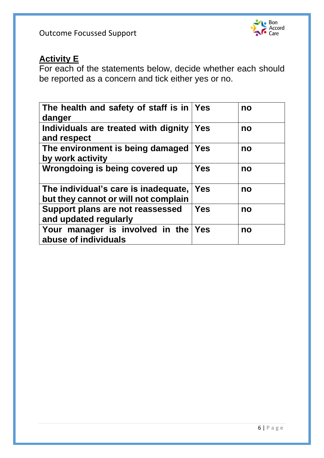

## **Activity E**

For each of the statements below, decide whether each should be reported as a concern and tick either yes or no.

| The health and safety of staff is in<br>danger                               | <b>Yes</b> | no |
|------------------------------------------------------------------------------|------------|----|
| Individuals are treated with dignity<br>and respect                          | Yes        | no |
| The environment is being damaged<br>by work activity                         | <b>Yes</b> | no |
| Wrongdoing is being covered up                                               | <b>Yes</b> | no |
| The individual's care is inadequate,<br>but they cannot or will not complain | Yes        | no |
| Support plans are not reassessed<br>and updated regularly                    | Yes        | no |
| Your manager is involved in the<br>abuse of individuals                      | Yes        | no |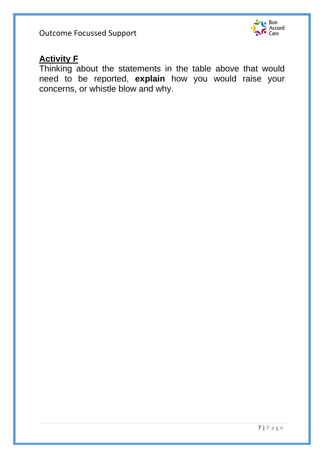

#### **Activity F**

Thinking about the statements in the table above that would need to be reported, **explain** how you would raise your concerns, or whistle blow and why.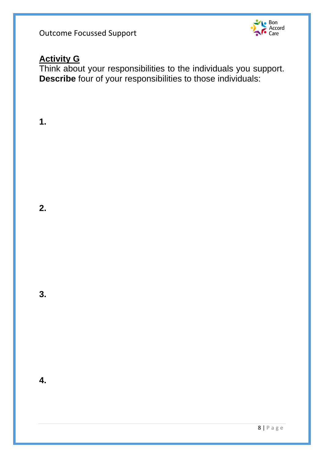

# **Activity G**

Think about your responsibilities to the individuals you support. **Describe** four of your responsibilities to those individuals:

**1.**

**2.**

**3.**

**4.**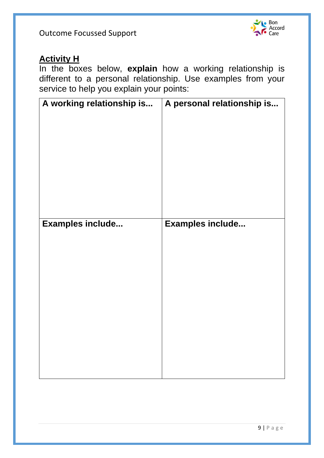

#### **Activity H**

In the boxes below, **explain** how a working relationship is different to a personal relationship. Use examples from your service to help you explain your points:

| A working relationship is | A personal relationship is |
|---------------------------|----------------------------|
| Examples include          | Examples include           |